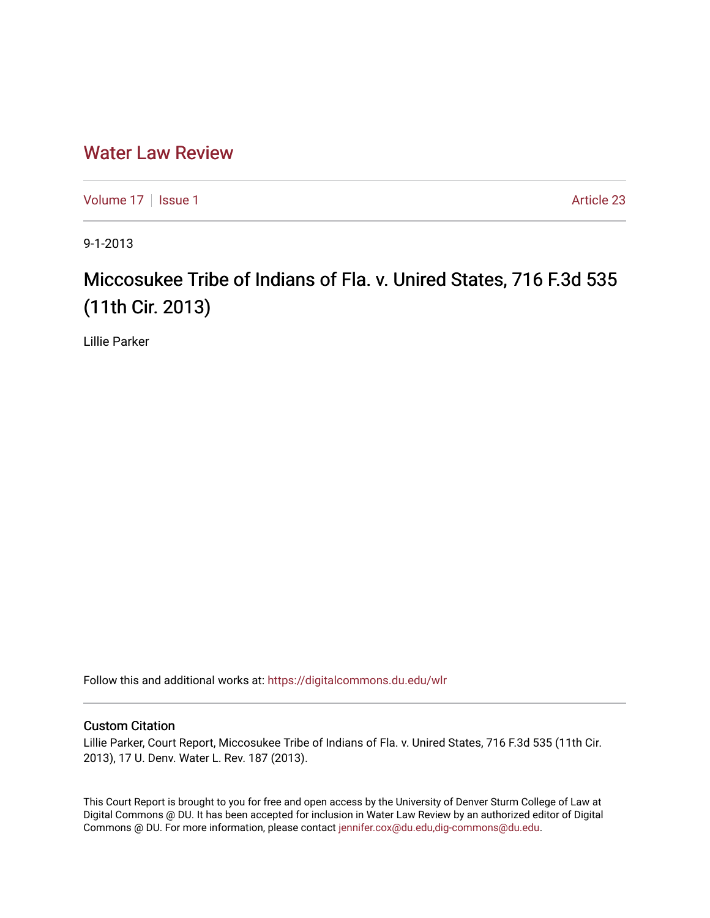## [Water Law Review](https://digitalcommons.du.edu/wlr)

[Volume 17](https://digitalcommons.du.edu/wlr/vol17) | [Issue 1](https://digitalcommons.du.edu/wlr/vol17/iss1) Article 23

9-1-2013

# Miccosukee Tribe of Indians of Fla. v. Unired States, 716 F.3d 535 (11th Cir. 2013)

Lillie Parker

Follow this and additional works at: [https://digitalcommons.du.edu/wlr](https://digitalcommons.du.edu/wlr?utm_source=digitalcommons.du.edu%2Fwlr%2Fvol17%2Fiss1%2F23&utm_medium=PDF&utm_campaign=PDFCoverPages) 

#### Custom Citation

Lillie Parker, Court Report, Miccosukee Tribe of Indians of Fla. v. Unired States, 716 F.3d 535 (11th Cir. 2013), 17 U. Denv. Water L. Rev. 187 (2013).

This Court Report is brought to you for free and open access by the University of Denver Sturm College of Law at Digital Commons @ DU. It has been accepted for inclusion in Water Law Review by an authorized editor of Digital Commons @ DU. For more information, please contact [jennifer.cox@du.edu,dig-commons@du.edu.](mailto:jennifer.cox@du.edu,dig-commons@du.edu)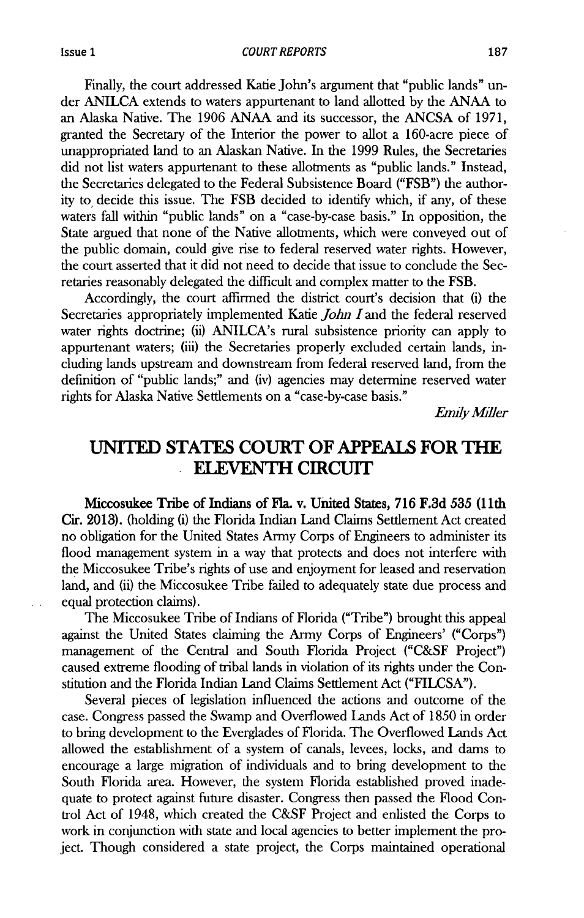Finally, the court addressed Katie John's argument that "public lands" under **ANILCA** extends to waters appurtenant to land allotted **by** the **ANAA** to an Alaska Native. The **1906 ANAA** and its successor, the **ANCSA** of **1971,** granted the Secretary of the Interior the power to allot a 160-acre piece of unappropriated land to an Alaskan Native. In the **1999** Rules, the Secretaries did not list waters appurtenant to these allotments as "public lands." Instead, the Secretaries delegated to the Federal Subsistence Board ("FSB") the authority to, decide this issue. The FSB decided to identify which, if any, of these waters fall within "public lands" on a "case-by-case basis." In opposition, the State argued that none of the Native allotments, which were conveyed out of the public domain, could give rise to federal reserved water rights. However, the court asserted that it did not need to decide that issue to conclude the Secretaries reasonably delegated the difficult and complex matter to the FSB.

Accordingly, the court affirmed the district court's decision that (i) the Secretaries appropriately implemented Katie *John* land the federal reserved water rights doctrine; (ii) ANILCA's rural subsistence priority can apply to appurtenant waters; (iii) the Secretaries properly excluded certain lands, including lands upstream and downstream from federal reserved land, from the definition of "public lands;" and (iv) agencies may determine reserved water rights for Alaska Native Settlements on a "case-by-case basis."

*Emdy Miler*

## **UNITED STATES COURT OF APPEALS FOR THE ELEVENTH CIRCUIT**

Miccosukee Tribe of Indians of Fla. v. United States, **716 F.3d 535 (11th Cir. 2013).** (holding (i) the Florida Indian Land Claims Settlement Act created no obligation for the United States Army Corps of Engineers to administer its flood management system in a way that protects and does not interfere with the Miccosukee Tribe's rights of use and enjoyment for leased and reservation land, and (ii) the Miccosukee Tribe failed to adequately state due process and equal protection claims).

The Miccosukee Tribe of Indians of Florida ("Tribe") brought this appeal against the United States claiming the Army Corps of Engineers' ("Corps") management of the Central and South Florida Project **("C&SF** Project") caused extreme flooding of tribal lands in violation of its rights under the Constitution and the Florida Indian Land Claims Settlement Act **("FILCSA").**

Several pieces of legislation influenced the actions and outcome of the case. Congress passed the Swamp and Overflowed Lands Act of **1850** in order to bring development to the Everglades of Florida. The Overflowed Lands Act allowed the establishment of a system of canals, levees, locks, and dams to encourage a large migration of individuals and to bring development to the South Florida area. However, the system Florida established proved inadequate to protect against future disaster. Congress then passed the Flood Control Act of 1948, which created the **C&SF** Project and enlisted the Corps to work in conjunction with state and local agencies to better implement the project. Though considered a state project, the Corps maintained operational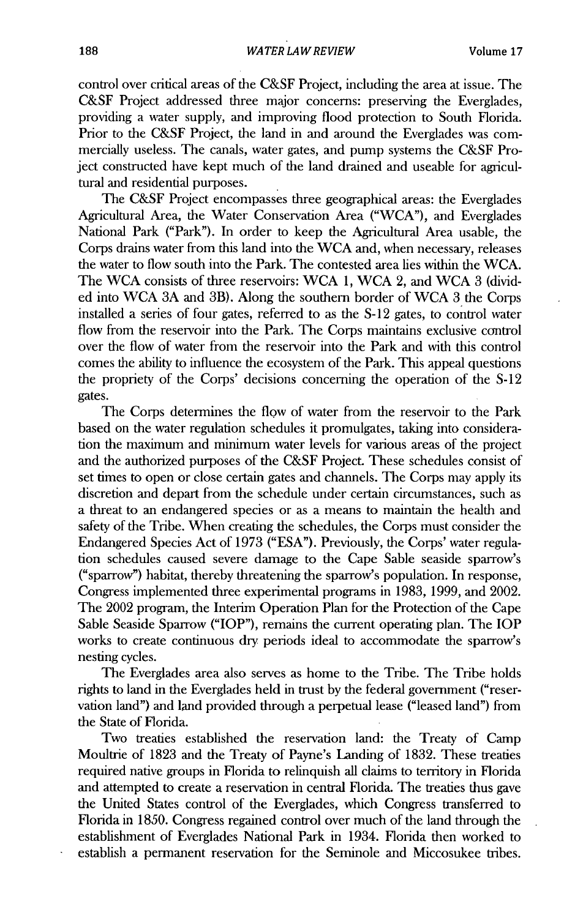control over critical areas of the **C&SF** Project, including the area at issue. The **C&SF** Project addressed three major concerns: preserving the Everglades, providing a water supply, and improving flood protection to South Florida. Prior to the **C&SF** Project, the land **in** and around the Everglades was commercially useless. The canals, water gates, and pump systems the **C&SF** Project constructed have kept much of the land drained and useable for agricultural and residential purposes.

The **C&SF** Project encompasses three geographical areas: the Everglades Agricultural Area, the Water Conservation Area ("WCA"), and Everglades National Park ("Park"). In order to keep the Agricultural Area usable, the Corps drains water from this land into the WCA and, when necessary, releases the water to flow south into the Park. The contested area lies within the WCA. The WCA consists of three reservoirs: WCA **1,** WCA 2, and WCA **3** (divided into WCA **3A** and 3B). Along the southern border of WCA **3** the Corps installed a series of four gates, referred to as the **S-12** gates, to control water flow from the reservoir into the Park. The Corps maintains exclusive control over the flow of water from the reservoir into the Park and with this control comes the ability to influence the ecosystem of the Park. This appeal questions the propriety of the Corps' decisions concerning the operation of the **S-12** gates.

The Corps determines the flow of water from the reservoir to the Park based on the water regulation schedules it promulgates, taking into consideration the maximum and minimum water levels for various areas of the project and the authorized purposes of the **C&SF** Project These schedules consist of set times to open or close certain gates and channels. The Corps may apply its discretion and depart from the schedule under certain circumstances, such as a threat to an endangered species or as a means to maintain the health and safety of the Tribe. When creating the schedules, the Corps must consider the Endangered Species Act of **1973 ("ESA").** Previously, the Corps' water regulation schedules caused severe damage to the Cape Sable seaside sparrow's ("sparrow") habitat, thereby threatening the sparrow's population. In response, Congress implemented three experimental programs in **1983, 1999,** and 2002. The 2002 program, the Interim Operation Plan for the Protection of the Cape Sable Seaside Sparrow ("IOP"), remains the current operating plan. The IOP works **to** create **continuous** dry periods ideal **to** accommodate the sparrow's nesting cycles.

The Everglades area also serves as home to the Tribe. The Tribe holds rights to land **in** the Everglades held **in** trust **by** the federal government ("reservation land") and land provided through a perpetual lease ("leased land") from the State of Florida.

Two treaties established the reservation land: the Treaty of Camp Moultrie of **1823** and the Treaty of Payne's Landing of **1832.** These treaties required native groups in Florida to relinquish all claims to territory in Florida and attempted to create a reservation **in** central Florida. The treaties thus gave the United States control of the Everglades, which Congress transferred to Florida in **1850.** Congress regained control over much of the land through the establishment of Everglades National Park in 1934. Florida then worked to establish a permanent reservation for the Seminole and Miccosukee tribes.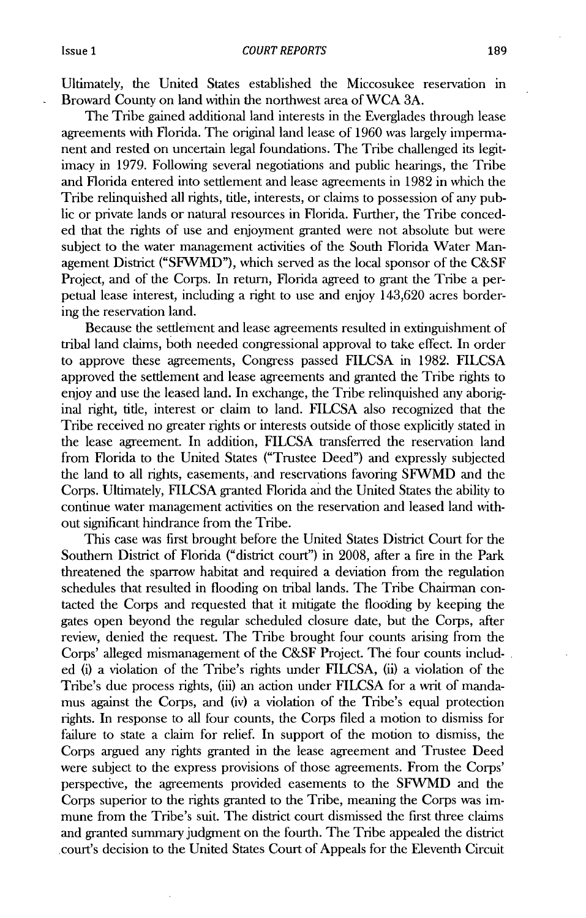Ultimately, the United States established the Miccosukee reservation in Broward County on land within the northwest area of WCA **3A.**

The Tribe gained additional land interests in the Everglades through lease agreements with Florida. The original land lease of **1960** was largely impermanent and rested on uncertain legal foundations. The Tribe challenged its legitimacy in **1979.** Following several negotiations and public hearings, the Tribe and Florida entered into settlement and lease agreements in **1982** in which the Tribe relinquished all rights, tide, interests, or claims to possession of **any** public or private lands or natural resources in Florida. Further, the Tribe conceded that the rights of use and enjoyment granted were not absolute but were subject to the water management activities of the South Florida Water Management District ("SFWMD"), which served as the local sponsor of the **C&SF** Project, and of the Corps. In return, Florida agreed to grant the Tribe a perpetual lease interest, including a right to use and enjoy 143,620 acres bordering the reservation land.

Because the settlement and lease agreements resulted in extinguishment of tribal land claims, both needed congressional approval to take effect. In order to approve these agreements, Congress passed **FILCSA** in **1982.** FILCSA approved the settlement and lease agreements and granted the Tribe rights to enjoy and use the leased land. In exchange, the Tribe relinquished any aboriginal right, title, interest or claim to land. **FILCSA** also recognized that the Tribe received no greater rights or interests outside of those explicitly stated in the lease agreement. In addition, **FILCSA** transferred the reservation land from Florida to the United States ("Trustee Deed") and expressly subjected **the** land to all rights, easements, and reservations favoring SFWMD and the Corps. Ultimately, **FILCSA** granted Florida and the United States the ability to continue water management activities on the reservation and leased land **with**out significant hindrance from the Tribe.

This case was first brought before the United States District Court for the Southern District of Florida ("district court") in **2008,** after a fire in the Park threatened the sparrow habitat and required a deviation from the regulation schedules that resulted in flooding on tribal lands. The Tribe Chairman contacted the Corps and requested that it mitigate the flooding **by** keeping the gates open beyond the regular scheduled closure date, but the Corps, after review, denied the request. The Tribe brought four counts arising from the Corps' alleged mismanagement of the **C&SF** Project. The four counts included (i) a violation of the Tribe's rights under **FILCSA,** (ii) a violation of the Tribe's due process rights, (iii) an action under **FILCSA** for a writ of mandamus against the Corps, and (iv) a violation of the Tribe's equal protection rights. In response to all four counts, the Corps filed a motion to dismiss for failure to state a claim for relief. In support of the motion to dismiss, the Corps argued any rights granted in the lease agreement and Trustee Deed were subject to the express provisions of those agreements. From the Corps' perspective, the agreements provided easements to the **SFWMD** and the Corps superior to the rights granted **to** the Tribe, meaning the Corps was **im**mune from the Tribe's suit. The district court dismissed the first three claims and granted summary judgment on the fourth. The Tribe appealed the district court's decision to the United States Court of Appeals for the Eleventh Circuit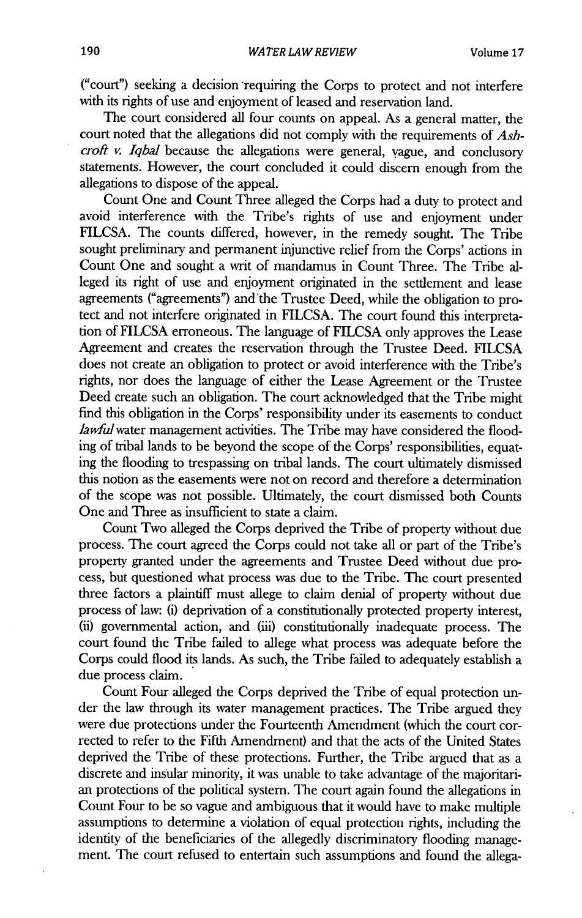("court") seeking a decision requiring the Corps to protect and not interfere with its rights of use and enjoyment of leased and reservation land.

The court considered all four counts on appeal. As a general matter, the court noted that the allegations did not comply with the requirements of *Ashcroft v. Iqbal* because the allegations were general, vague, and conclusory statements. However, the court concluded it could discern enough from the allegations to dispose of the appeal.

Count One and Count Three alleged the Corps had a duty to protect and avoid interference with the Tribe's rights of use and enjoyment under **FILCSA.** The counts differed, however, in the remedy sought. The Tribe sought preliminary and permanent injunctive relief from the Corps' actions in Count One and sought a writ of mandamus in Count Three. The Tribe alleged its right of use and enjoyment originated in the settlement and lease agreements ("agreements") and the Trustee Deed, while the obligation to protect and not interfere originated in **FILCSA.** The court found this interpretation of FILCSA erroneous. The language of **FILCSA** only approves the Lease Agreement and creates the reservation through the Trustee Deed. **FILCSA** does not create an obligation to protect or avoid interference with the Tribe's rights, nor does the language of either the Lease Agreement or the Trustee Deed create such an obligation. The court acknowledged that the Tribe might find this obligation in the Corps' responsibility under its easements to conduct lawful water management activities. The Tribe may have considered the flooding of tribal lands to be beyond the scope of the Corps' responsibilities, equating the flooding to trespassing on tribal lands. The court ultimately dismissed this notion as the easements were not on record and therefore a determination of the scope was not possible. Ultimately, the court dismissed both Counts One and Three as insufficient to state a claim.

Count Two alleged the Corps deprived the Tribe of property without due process. The court agreed the Corps could not take all or part of the Tribe's property granted under the agreements and Trustee Deed without due process, but questioned what process was due to the Tribe. The court presented three factors a plaintiff must allege to claim denial of property without due process of law: (i) deprivation of a constitutionally protected property interest, (ii) governmental action, and .(iii) constitutionally inadequate process. The court found the Tribe failed to allege what process was adequate before the Corps could flood its lands. As such, the Tribe failed to adequately establish a due process claim.

Count Four alleged the Corps deprived the Tribe of equal protection under the law through its water management practices. The Tribe argued they were due protections under the Fourteenth Amendment (which the court corrected to refer to the Fifth Amendment) and that the acts of the United States deprived the Tribe of these protections. Further, the Tribe argued that as a discrete and insular minority, it was unable to take advantage of the majoritarian protections of the political system. The court again found the allegations in Count Four to be so vague and ambiguous that it would have to make multiple assumptions to determine a violation of equal protection rights, including the identity of the beneficiaries of the allegedly discriminatory flooding management. The court refused to entertain such assumptions and found the allega